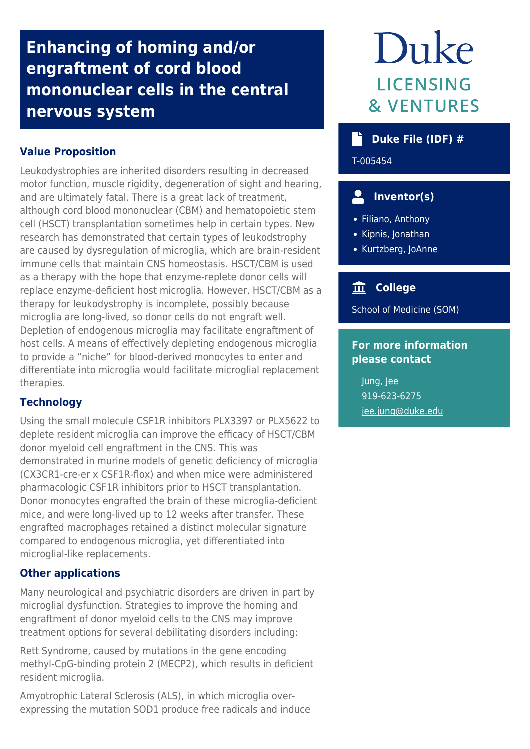# **Enhancing of homing and/or engraftment of cord blood mononuclear cells in the central nervous system**

## **Value Proposition**

Leukodystrophies are inherited disorders resulting in decreased motor function, muscle rigidity, degeneration of sight and hearing, and are ultimately fatal. There is a great lack of treatment, although cord blood mononuclear (CBM) and hematopoietic stem cell (HSCT) transplantation sometimes help in certain types. New research has demonstrated that certain types of leukodstrophy are caused by dysregulation of microglia, which are brain-resident immune cells that maintain CNS homeostasis. HSCT/CBM is used as a therapy with the hope that enzyme-replete donor cells will replace enzyme-deficient host microglia. However, HSCT/CBM as a therapy for leukodystrophy is incomplete, possibly because microglia are long-lived, so donor cells do not engraft well. Depletion of endogenous microglia may facilitate engraftment of host cells. A means of effectively depleting endogenous microglia to provide a "niche" for blood-derived monocytes to enter and differentiate into microglia would facilitate microglial replacement therapies.

### **Technology**

Using the small molecule CSF1R inhibitors PLX3397 or PLX5622 to deplete resident microglia can improve the efficacy of HSCT/CBM donor myeloid cell engraftment in the CNS. This was demonstrated in murine models of genetic deficiency of microglia (CX3CR1-cre-er x CSF1R-flox) and when mice were administered pharmacologic CSF1R inhibitors prior to HSCT transplantation. Donor monocytes engrafted the brain of these microglia-deficient mice, and were long-lived up to 12 weeks after transfer. These engrafted macrophages retained a distinct molecular signature compared to endogenous microglia, yet differentiated into microglial-like replacements.

### **Other applications**

Many neurological and psychiatric disorders are driven in part by microglial dysfunction. Strategies to improve the homing and engraftment of donor myeloid cells to the CNS may improve treatment options for several debilitating disorders including:

Rett Syndrome, caused by mutations in the gene encoding methyl-CpG-binding protein 2 (MECP2), which results in deficient resident microglia.

Amyotrophic Lateral Sclerosis (ALS), in which microglia overexpressing the mutation SOD1 produce free radicals and induce

# Duke **LICENSING & VENTURES**

# **Duke File (IDF) #**

T-005454

# **Inventor(s)**

- Filiano, Anthony
- Kipnis, Jonathan
- Kurtzberg, JoAnne

# **College**

School of Medicine (SOM)

### **For more information please contact**

Jung, Jee 919-623-6275 [jee.jung@duke.edu](mailto:jee.jung@duke.edu)